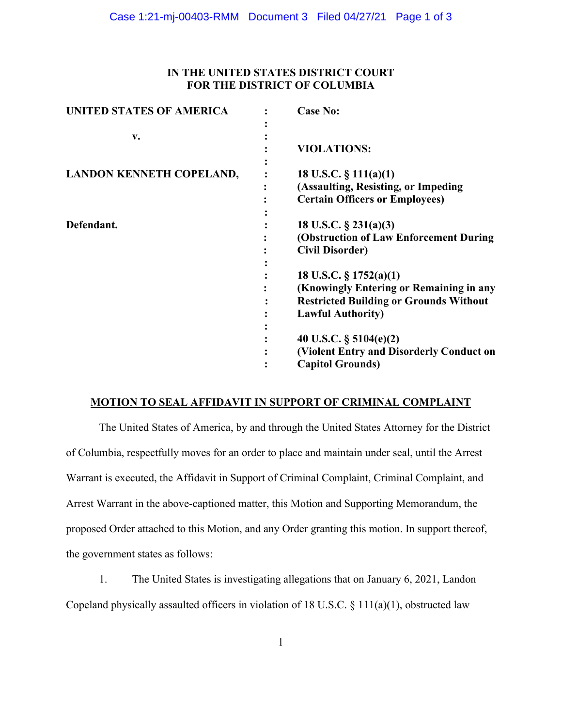# **IN THE UNITED STATES DISTRICT COURT FOR THE DISTRICT OF COLUMBIA**

| <b>UNITED STATES OF AMERICA</b> | <b>Case No:</b>                                                                                                                                   |
|---------------------------------|---------------------------------------------------------------------------------------------------------------------------------------------------|
| v.                              | <b>VIOLATIONS:</b>                                                                                                                                |
| <b>LANDON KENNETH COPELAND,</b> | 18 U.S.C. $\S$ 111(a)(1)<br>(Assaulting, Resisting, or Impeding<br><b>Certain Officers or Employees)</b>                                          |
| Defendant.                      | 18 U.S.C. $\S$ 231(a)(3)<br>(Obstruction of Law Enforcement During<br><b>Civil Disorder)</b>                                                      |
|                                 | 18 U.S.C. $\S 1752(a)(1)$<br>(Knowingly Entering or Remaining in any<br><b>Restricted Building or Grounds Without</b><br><b>Lawful Authority)</b> |
|                                 | 40 U.S.C. $\S$ 5104(e)(2)<br>(Violent Entry and Disorderly Conduct on<br><b>Capitol Grounds)</b>                                                  |

# **MOTION TO SEAL AFFIDAVIT IN SUPPORT OF CRIMINAL COMPLAINT**

The United States of America, by and through the United States Attorney for the District of Columbia, respectfully moves for an order to place and maintain under seal, until the Arrest Warrant is executed, the Affidavit in Support of Criminal Complaint, Criminal Complaint, and Arrest Warrant in the above-captioned matter, this Motion and Supporting Memorandum, the proposed Order attached to this Motion, and any Order granting this motion. In support thereof, the government states as follows:

1. The United States is investigating allegations that on January 6, 2021, Landon Copeland physically assaulted officers in violation of 18 U.S.C.  $\S 111(a)(1)$ , obstructed law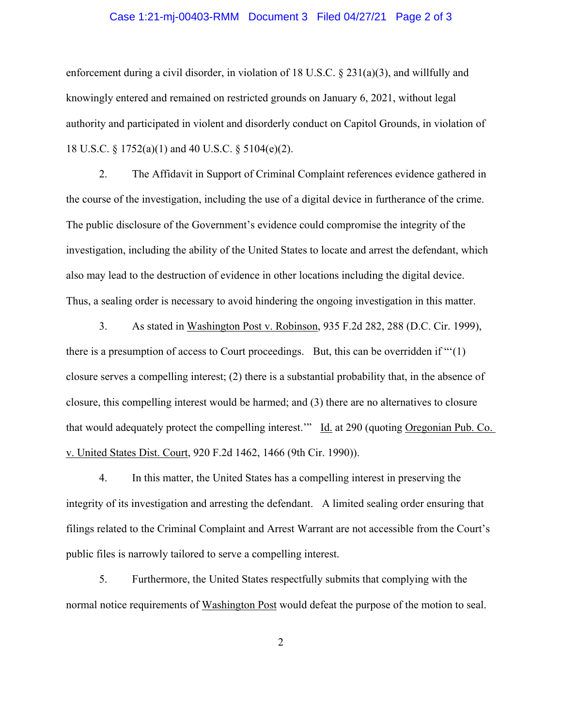#### Case 1:21-mj-00403-RMM Document 3 Filed 04/27/21 Page 2 of 3

enforcement during a civil disorder, in violation of 18 U.S.C. § 231(a)(3), and willfully and knowingly entered and remained on restricted grounds on January 6, 2021, without legal authority and participated in violent and disorderly conduct on Capitol Grounds, in violation of 18 U.S.C. § 1752(a)(1) and 40 U.S.C. § 5104(e)(2).

2. The Affidavit in Support of Criminal Complaint references evidence gathered in the course of the investigation, including the use of a digital device in furtherance of the crime. The public disclosure of the Government's evidence could compromise the integrity of the investigation, including the ability of the United States to locate and arrest the defendant, which also may lead to the destruction of evidence in other locations including the digital device. Thus, a sealing order is necessary to avoid hindering the ongoing investigation in this matter.

3. As stated in Washington Post v. Robinson, 935 F.2d 282, 288 (D.C. Cir. 1999), there is a presumption of access to Court proceedings. But, this can be overridden if "'(1) closure serves a compelling interest; (2) there is a substantial probability that, in the absence of closure, this compelling interest would be harmed; and (3) there are no alternatives to closure that would adequately protect the compelling interest." Id. at 290 (quoting Oregonian Pub. Co. v. United States Dist. Court, 920 F.2d 1462, 1466 (9th Cir. 1990)).

4. In this matter, the United States has a compelling interest in preserving the integrity of its investigation and arresting the defendant. A limited sealing order ensuring that filings related to the Criminal Complaint and Arrest Warrant are not accessible from the Court's public files is narrowly tailored to serve a compelling interest.

5. Furthermore, the United States respectfully submits that complying with the normal notice requirements of Washington Post would defeat the purpose of the motion to seal.

2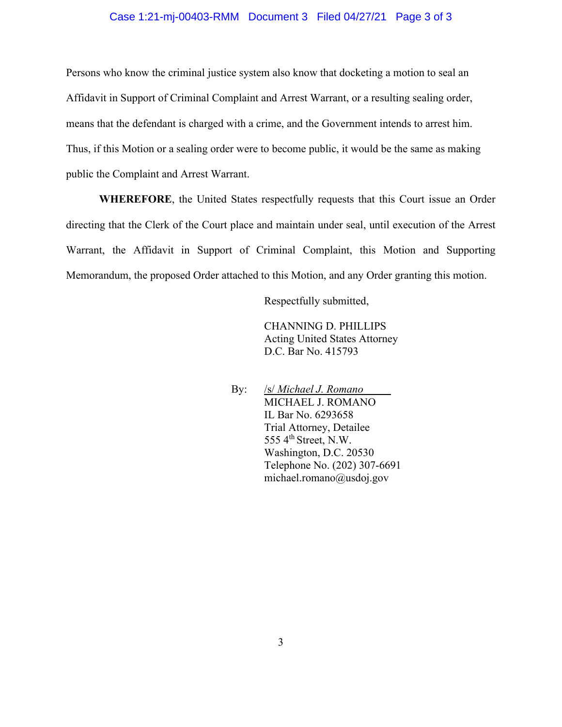#### Case 1:21-mj-00403-RMM Document 3 Filed 04/27/21 Page 3 of 3

Persons who know the criminal justice system also know that docketing a motion to seal an Affidavit in Support of Criminal Complaint and Arrest Warrant, or a resulting sealing order, means that the defendant is charged with a crime, and the Government intends to arrest him. Thus, if this Motion or a sealing order were to become public, it would be the same as making public the Complaint and Arrest Warrant.

**WHEREFORE**, the United States respectfully requests that this Court issue an Order directing that the Clerk of the Court place and maintain under seal, until execution of the Arrest Warrant, the Affidavit in Support of Criminal Complaint, this Motion and Supporting Memorandum, the proposed Order attached to this Motion, and any Order granting this motion.

Respectfully submitted,

CHANNING D. PHILLIPS Acting United States Attorney D.C. Bar No. 415793

By: /s/ *Michael J. Romano*\_\_\_\_\_ MICHAEL J. ROMANO IL Bar No. 6293658 Trial Attorney, Detailee 555 4<sup>th</sup> Street, N.W. Washington, D.C. 20530 Telephone No. (202) 307-6691 michael.romano@usdoj.gov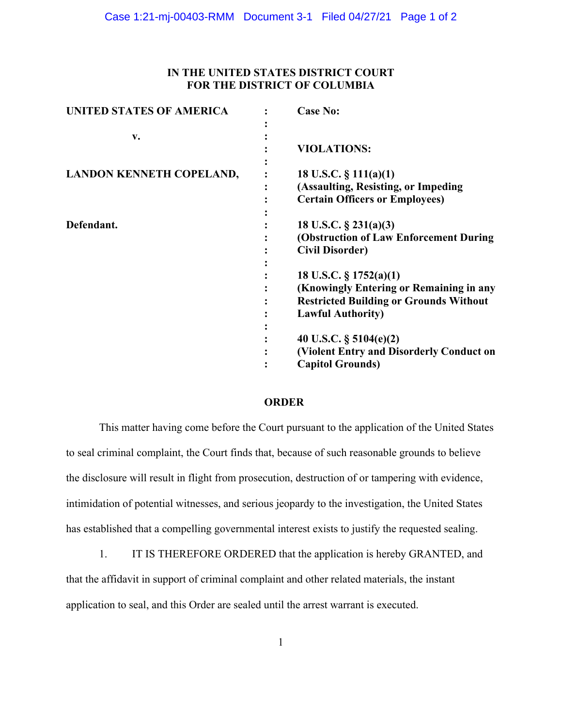# **IN THE UNITED STATES DISTRICT COURT FOR THE DISTRICT OF COLUMBIA**

| <b>UNITED STATES OF AMERICA</b> | <b>Case No:</b>                                                                                                                                   |
|---------------------------------|---------------------------------------------------------------------------------------------------------------------------------------------------|
| $V_{\bullet}$                   | <b>VIOLATIONS:</b>                                                                                                                                |
| <b>LANDON KENNETH COPELAND,</b> | 18 U.S.C. $\S$ 111(a)(1)<br>(Assaulting, Resisting, or Impeding<br><b>Certain Officers or Employees)</b>                                          |
| Defendant.                      | 18 U.S.C. $\S$ 231(a)(3)<br>(Obstruction of Law Enforcement During<br><b>Civil Disorder)</b>                                                      |
|                                 | 18 U.S.C. $\S 1752(a)(1)$<br>(Knowingly Entering or Remaining in any<br><b>Restricted Building or Grounds Without</b><br><b>Lawful Authority)</b> |
|                                 | 40 U.S.C. $\S$ 5104(e)(2)<br>(Violent Entry and Disorderly Conduct on<br><b>Capitol Grounds)</b>                                                  |

### **ORDER**

This matter having come before the Court pursuant to the application of the United States to seal criminal complaint, the Court finds that, because of such reasonable grounds to believe the disclosure will result in flight from prosecution, destruction of or tampering with evidence, intimidation of potential witnesses, and serious jeopardy to the investigation, the United States has established that a compelling governmental interest exists to justify the requested sealing.

1. IT IS THEREFORE ORDERED that the application is hereby GRANTED, and that the affidavit in support of criminal complaint and other related materials, the instant application to seal, and this Order are sealed until the arrest warrant is executed.